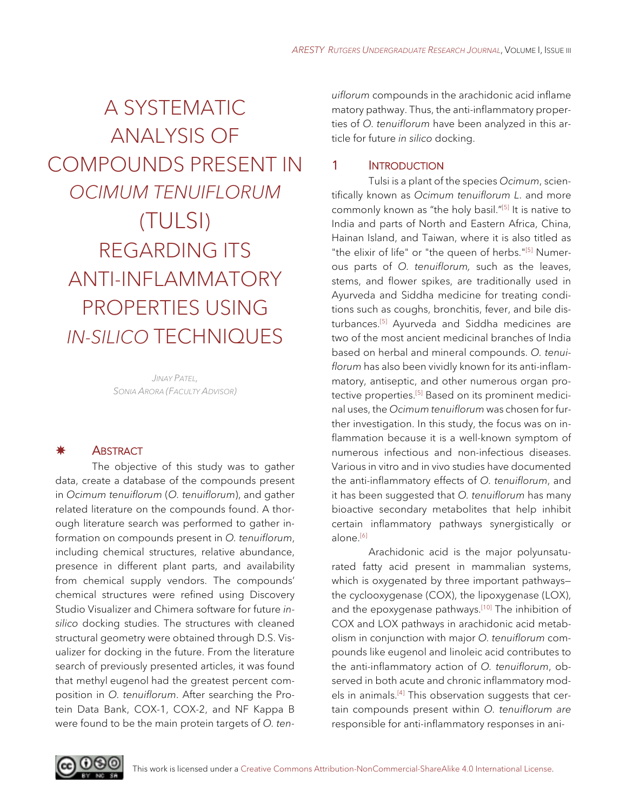# A SYSTEMATIC ANALYSIS OF COMPOUNDS PRESENT IN *OCIMUM TENUIFLORUM* (TULSI) REGARDING ITS ANTI-INFLAMMATORY PROPERTIES USING *IN-SILICO* TECHNIQUES

*JINAY PATEL, SONIA ARORA (FACULTY ADVISOR)*

#### \* **ABSTRACT**

The objective of this study was to gather data, create a database of the compounds present in *Ocimum tenuiflorum* (*O. tenuiflorum*), and gather related literature on the compounds found. A thorough literature search was performed to gather information on compounds present in *O. tenuiflorum*, including chemical structures, relative abundance, presence in different plant parts, and availability from chemical supply vendors. The compounds' chemical structures were refined using Discovery Studio Visualizer and Chimera software for future *insilico* docking studies. The structures with cleaned structural geometry were obtained through D.S. Visualizer for docking in the future. From the literature search of previously presented articles, it was found that methyl eugenol had the greatest percent composition in *O. tenuiflorum*. After searching the Protein Data Bank, COX-1, COX-2, and NF Kappa B were found to be the main protein targets of *O. ten-*

*uiflorum* compounds in the arachidonic acid inflame matory pathway. Thus, the anti-inflammatory properties of *O. tenuiflorum* have been analyzed in this article for future *in silico* docking.

# 1 **INTRODUCTION**

Tulsi is a plant of the species *Ocimum*, scientifically known as *Ocimum tenuiflorum L*. and more commonly known as "the holy basil."[5] It is native to India and parts of North and Eastern Africa, China, Hainan Island, and Taiwan, where it is also titled as "the elixir of life" or "the queen of herbs."[5] Numerous parts of *O. tenuiflorum,* such as the leaves, stems, and flower spikes, are traditionally used in Ayurveda and Siddha medicine for treating conditions such as coughs, bronchitis, fever, and bile disturbances. [5] Ayurveda and Siddha medicines are two of the most ancient medicinal branches of India based on herbal and mineral compounds. *O. tenuiflorum* has also been vividly known for its anti-inflammatory, antiseptic, and other numerous organ protective properties. [5] Based on its prominent medicinal uses, the *Ocimum tenuiflorum* was chosen for further investigation. In this study, the focus was on inflammation because it is a well-known symptom of numerous infectious and non-infectious diseases. Various in vitro and in vivo studies have documented the anti-inflammatory effects of *O. tenuiflorum*, and it has been suggested that *O. tenuiflorum* has many bioactive secondary metabolites that help inhibit certain inflammatory pathways synergistically or alone. [6]

Arachidonic acid is the major polyunsaturated fatty acid present in mammalian systems, which is oxygenated by three important pathways the cyclooxygenase (COX), the lipoxygenase (LOX), and the epoxygenase pathways.<sup>[10]</sup> The inhibition of COX and LOX pathways in arachidonic acid metabolism in conjunction with major *O. tenuiflorum* compounds like eugenol and linoleic acid contributes to the anti-inflammatory action of *O. tenuiflorum*, observed in both acute and chronic inflammatory models in animals.<sup>[4]</sup> This observation suggests that certain compounds present within *O. tenuiflorum are* responsible for anti-inflammatory responses in ani-

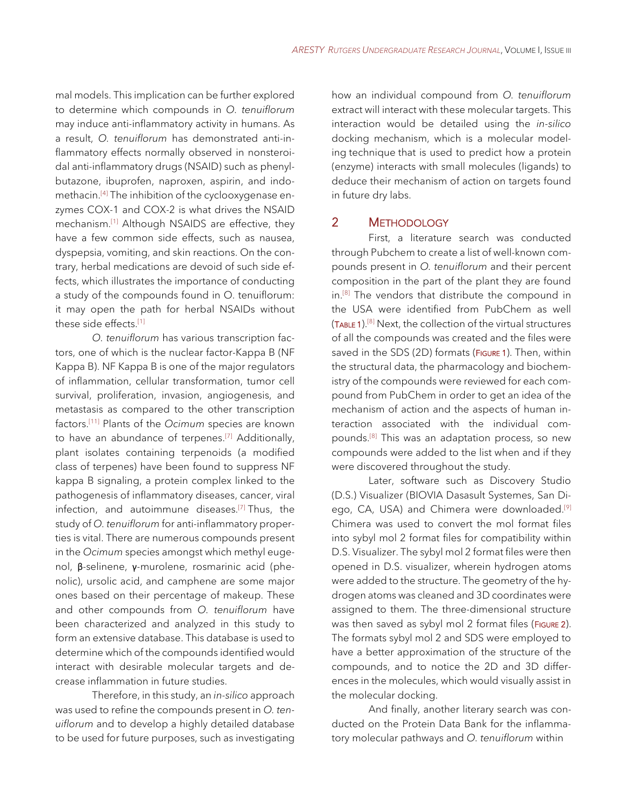mal models. This implication can be further explored to determine which compounds in *O. tenuiflorum*  may induce anti-inflammatory activity in humans. As a result, *O. tenuiflorum* has demonstrated anti-inflammatory effects normally observed in nonsteroidal anti-inflammatory drugs (NSAID) such as phenylbutazone, ibuprofen, naproxen, aspirin, and indomethacin. [4] The inhibition of the cyclooxygenase enzymes COX-1 and COX-2 is what drives the NSAID mechanism. [1] Although NSAIDS are effective, they have a few common side effects, such as nausea, dyspepsia, vomiting, and skin reactions. On the contrary, herbal medications are devoid of such side effects, which illustrates the importance of conducting a study of the compounds found in O. tenuiflorum: it may open the path for herbal NSAIDs without these side effects. [1]

*O. tenuiflorum* has various transcription factors, one of which is the nuclear factor-Kappa B (NF Kappa B). NF Kappa B is one of the major regulators of inflammation, cellular transformation, tumor cell survival, proliferation, invasion, angiogenesis, and metastasis as compared to the other transcription factors. [11] Plants of the *Ocimum* species are known to have an abundance of terpenes. [7] Additionally, plant isolates containing terpenoids (a modified class of terpenes) have been found to suppress NF kappa B signaling, a protein complex linked to the pathogenesis of inflammatory diseases, cancer, viral infection, and autoimmune diseases. [7] Thus, the study of *O. tenuiflorum* for anti-inflammatory properties is vital. There are numerous compounds present in the *Ocimum* species amongst which methyl eugenol, β-selinene, γ-murolene, rosmarinic acid (phenolic), ursolic acid, and camphene are some major ones based on their percentage of makeup. These and other compounds from *O. tenuiflorum* have been characterized and analyzed in this study to form an extensive database. This database is used to determine which of the compounds identified would interact with desirable molecular targets and decrease inflammation in future studies.

Therefore, in this study, an *in-silico* approach was used to refine the compounds present in *O. tenuiflorum* and to develop a highly detailed database to be used for future purposes, such as investigating

how an individual compound from *O. tenuiflorum* extract will interact with these molecular targets. This interaction would be detailed using the *in-silico* docking mechanism, which is a molecular modeling technique that is used to predict how a protein (enzyme) interacts with small molecules (ligands) to deduce their mechanism of action on targets found in future dry labs.

#### 2 METHODOLOGY

First, a literature search was conducted through Pubchem to create a list of well-known compounds present in *O. tenuiflorum* and their percent composition in the part of the plant they are found in.<sup>[8]</sup> The vendors that distribute the compound in the USA were identified from PubChem as well (TABLE 1). [8] Next, the collection of the virtual structures of all the compounds was created and the files were saved in the SDS (2D) formats (FIGURE 1). Then, within the structural data, the pharmacology and biochemistry of the compounds were reviewed for each compound from PubChem in order to get an idea of the mechanism of action and the aspects of human interaction associated with the individual compounds. [8] This was an adaptation process, so new compounds were added to the list when and if they were discovered throughout the study.

Later, software such as Discovery Studio (D.S.) Visualizer (BIOVIA Dasasult Systemes, San Diego, CA, USA) and Chimera were downloaded.<sup>[9]</sup> Chimera was used to convert the mol format files into sybyl mol 2 format files for compatibility within D.S. Visualizer. The sybyl mol 2 format files were then opened in D.S. visualizer, wherein hydrogen atoms were added to the structure. The geometry of the hydrogen atoms was cleaned and 3D coordinates were assigned to them. The three-dimensional structure was then saved as sybyl mol 2 format files (FIGURE 2). The formats sybyl mol 2 and SDS were employed to have a better approximation of the structure of the compounds, and to notice the 2D and 3D differences in the molecules, which would visually assist in the molecular docking.

And finally, another literary search was conducted on the Protein Data Bank for the inflammatory molecular pathways and *O. tenuiflorum* within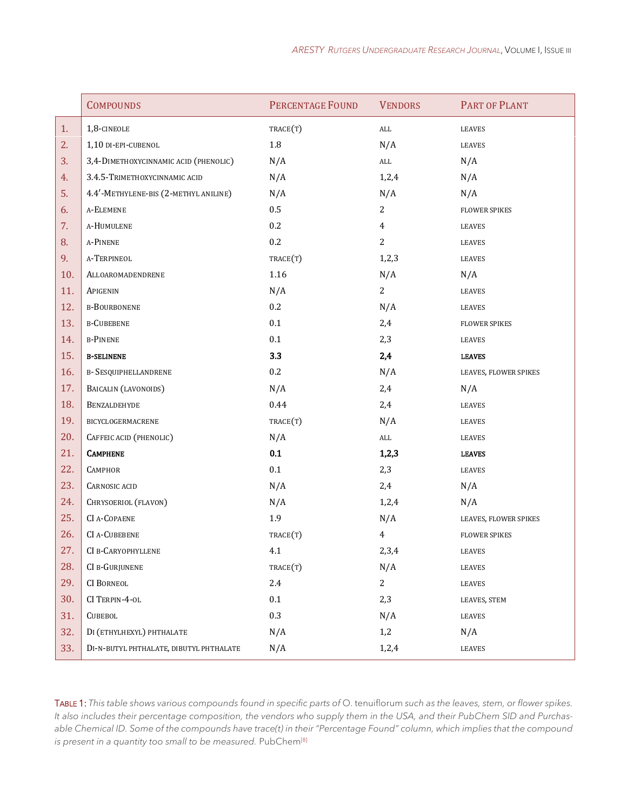|     | <b>COMPOUNDS</b>                        | <b>PERCENTAGE FOUND</b> | <b>VENDORS</b> | PART OF PLANT         |
|-----|-----------------------------------------|-------------------------|----------------|-----------------------|
| 1.  | 1,8-CINEOLE                             | TRACE(T)                | $\mathrm{ALL}$ | LEAVES                |
| 2.  | 1,10 DI-EPI-CUBENOL                     | $1.8\,$                 | N/A            | <b>LEAVES</b>         |
| 3.  | 3,4-DIMETHOXYCINNAMIC ACID (PHENOLIC)   | N/A                     | ALL            | N/A                   |
| 4.  | 3.4.5-TRIMETHOXYCINNAMIC ACID           | N/A                     | 1,2,4          | N/A                   |
| 5.  | 4.4'-METHYLENE-BIS (2-METHYL ANILINE)   | N/A                     | N/A            | N/A                   |
| 6.  | A-ELEMENE                               | $0.5\,$                 | 2              | <b>FLOWER SPIKES</b>  |
| 7.  | A-HUMULENE                              | 0.2                     | $\overline{4}$ | LEAVES                |
| 8.  | A-PINENE                                | 0.2                     | 2              | LEAVES                |
| 9.  | A-TERPINEOL                             | TRACE(T)                | 1,2,3          | LEAVES                |
| 10. | ALLOAROMADENDRENE                       | 1.16                    | N/A            | N/A                   |
| 11. | APIGENIN                                | N/A                     | 2              | LEAVES                |
| 12. | <b>B-BOURBONENE</b>                     | $0.2\,$                 | N/A            | LEAVES                |
| 13. | <b>B-CUBEBENE</b>                       | 0.1                     | 2,4            | <b>FLOWER SPIKES</b>  |
| 14. | <b>B-PINENE</b>                         | 0.1                     | 2,3            | LEAVES                |
| 15. | <b>B-SELINENE</b>                       | 3.3                     | 2,4            | <b>LEAVES</b>         |
| 16. | <b>B- SESQUIPHELLANDRENE</b>            | 0.2                     | N/A            | LEAVES, FLOWER SPIKES |
| 17. | BAICALIN (LAVONOIDS)                    | N/A                     | 2,4            | N/A                   |
| 18. | BENZALDEHYDE                            | 0.44                    | 2,4            | LEAVES                |
| 19. | BICYCLOGERMACRENE                       | TRACE(T)                | N/A            | LEAVES                |
| 20. | CAFFEIC ACID (PHENOLIC)                 | N/A                     | $\mbox{ALL}$   | LEAVES                |
| 21. | <b>CAMPHENE</b>                         | 0.1                     | 1,2,3          | <b>LEAVES</b>         |
| 22. | CAMPHOR                                 | 0.1                     | 2,3            | <b>LEAVES</b>         |
| 23. | <b>CARNOSIC ACID</b>                    | N/A                     | 2,4            | N/A                   |
| 24. | CHRYSOERIOL (FLAVON)                    | N/A                     | 1,2,4          | N/A                   |
| 25. | CI A-COPAENE                            | 1.9                     | N/A            | LEAVES, FLOWER SPIKES |
| 26. | <b>CI A-CUBEBENE</b>                    | TRACE(T)                | $\overline{4}$ | FLOWER SPIKES         |
| 27. | CI B-CARYOPHYLLENE                      | 4.1                     | 2,3,4          | LEAVES                |
| 28. | CI B-GURJUNENE                          | TRACE(T)                | N/A            | LEAVES                |
| 29. | <b>CI BORNEOL</b>                       | 2.4                     | $\overline{2}$ | LEAVES                |
| 30. | CI TERPIN-4-OL                          | 0.1                     | 2,3            | LEAVES, STEM          |
| 31. | <b>CUBEBOL</b>                          | 0.3                     | N/A            | LEAVES                |
| 32. | DI (ETHYLHEXYL) PHTHALATE               | N/A                     | 1,2            | N/A                   |
| 33. | DI-N-BUTYL PHTHALATE, DIBUTYL PHTHALATE | N/A                     | 1,2,4          | LEAVES                |

TABLE 1: This table shows various compounds found in specific parts of O. tenuiflorum such as the leaves, stem, or flower spikes. *It also includes their percentage composition, the vendors who supply them in the USA, and their PubChem SID and Purchasable Chemical ID. Some of the compounds have trace(t) in their "Percentage Found" column, which implies that the compound is present in a quantity too small to be measured.* PubChem<sup>[8]</sup>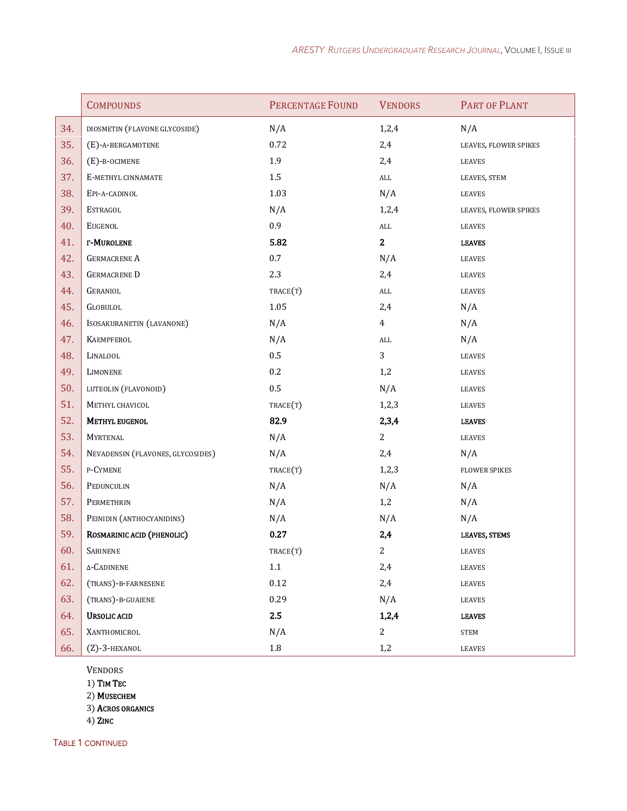|     | <b>COMPOUNDS</b>                  | PERCENTAGE FOUND | <b>VENDORS</b> | PART OF PLANT         |
|-----|-----------------------------------|------------------|----------------|-----------------------|
| 34. | DIOSMETIN (FLAVONE GLYCOSIDE)     | N/A              | 1,2,4          | N/A                   |
| 35. | (E)-A-BERGAMOTENE                 | 0.72             | 2,4            | LEAVES, FLOWER SPIKES |
| 36. | $(E)$ -B-OCIMENE                  | 1.9              | 2,4            | LEAVES                |
| 37. | E-METHYL CINNAMATE                | $1.5\,$          | $\mbox{ALL}$   | LEAVES, STEM          |
| 38. | EPI-A-CADINOL                     | 1.03             | N/A            | LEAVES                |
| 39. | ESTRAGOL                          | N/A              | 1,2,4          | LEAVES, FLOWER SPIKES |
| 40. | <b>EUGENOL</b>                    | 0.9              | ALL            | LEAVES                |
| 41. | <b>r-Murolene</b>                 | 5.82             | $\mathbf{2}$   | <b>LEAVES</b>         |
| 42. | <b>GERMACRENE A</b>               | $0.7\,$          | N/A            | LEAVES                |
| 43. | <b>GERMACRENE D</b>               | 2.3              | 2,4            | LEAVES                |
| 44. | <b>GERANIOL</b>                   | TRACE(T)         | $\mathrm{ALL}$ | LEAVES                |
| 45. | <b>GLOBULOL</b>                   | 1.05             | 2,4            | N/A                   |
| 46. | ISOSAKURANETIN (LAVANONE)         | N/A              | $\overline{4}$ | N/A                   |
| 47. | KAEMPFEROL                        | N/A              | $\mbox{ALL}$   | N/A                   |
| 48. | LINALOOL                          | $0.5\,$          | 3              | LEAVES                |
| 49. | LIMONENE                          | $0.2\,$          | 1,2            | LEAVES                |
| 50. | LUTEOLIN (FLAVONOID)              | 0.5              | N/A            | LEAVES                |
| 51. | METHYL CHAVICOL                   | TRACE(T)         | 1,2,3          | <b>LEAVES</b>         |
| 52. | METHYL EUGENOL                    | 82.9             | 2,3,4          | <b>LEAVES</b>         |
| 53. | <b>MYRTENAL</b>                   | N/A              | $2^{\circ}$    | LEAVES                |
| 54. | NEVADENSIN (FLAVONES, GLYCOSIDES) | N/A              | 2,4            | N/A                   |
| 55. | P-CYMENE                          | TRACE(T)         | 1,2,3          | <b>FLOWER SPIKES</b>  |
| 56. | PEDUNCULIN                        | N/A              | N/A            | N/A                   |
| 57. | PERMETHRIN                        | N/A              | 1,2            | N/A                   |
| 58. | PEINIDIN (ANTHOCYANIDINS)         | N/A              | N/A            | N/A                   |
| 59. | ROSMARINIC ACID (PHENOLIC)        | 0.27             | 2,4            | <b>LEAVES, STEMS</b>  |
| 60. | SABINENE                          | TRACE(T)         | $\mathbf{2}$   | LEAVES                |
| 61. | $\Delta$ -Cadinene                | 1.1              | 2,4            | LEAVES                |
| 62. | (TRANS)-B-FARNESENE               | $0.12\,$         | 2,4            | LEAVES                |
| 63. | (TRANS)-B-GUAIENE                 | 0.29             | N/A            | LEAVES                |
| 64. | <b>URSOLIC ACID</b>               | 2.5              | 1,2,4          | <b>LEAVES</b>         |
| 65. | XANTHOMICROL                      | N/A              | 2              | STEM                  |
| 66. | (Z)-3-HEXANOL                     | $1.8\,$          | 1,2            | LEAVES                |

VENDORS

1) TIM TEC

2) MUSECHEM

3) ACROS ORGANICS

4) ZINC

TABLE 1 CONTINUED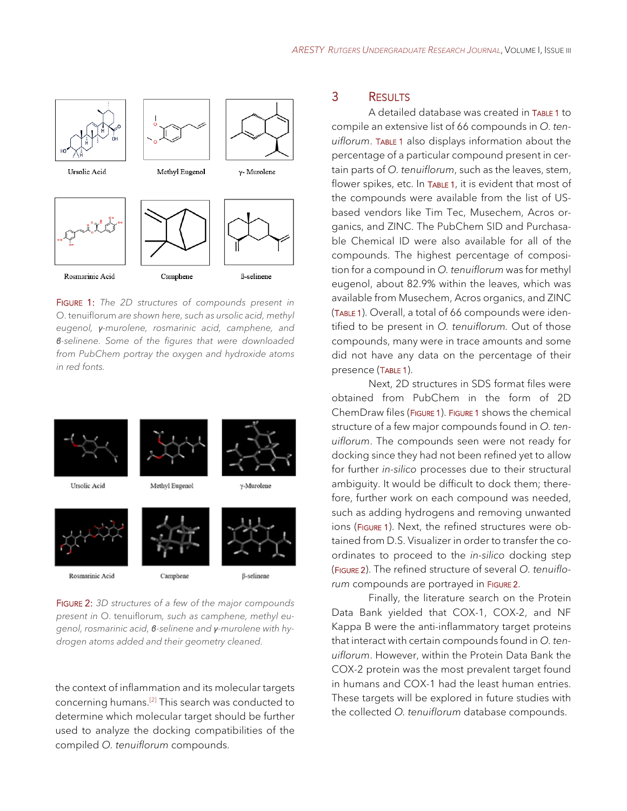

FIGURE 1: *The 2D structures of compounds present in*  O. tenuiflorum *are shown here, such as ursolic acid, methyl eugenol, γ-murolene, rosmarinic acid, camphene, and β-selinene. Some of the figures that were downloaded from PubChem portray the oxygen and hydroxide atoms in red fonts.*



*present in* O. tenuiflorum*, such as camphene, methyl eugenol, rosmarinic acid, β-selinene and γ-murolene with hydrogen atoms added and their geometry cleaned.*

the context of inflammation and its molecular targets concerning humans. [2] This search was conducted to determine which molecular target should be further used to analyze the docking compatibilities of the compiled *O. tenuiflorum* compounds.

### 3 RESULTS

A detailed database was created in TABLE 1 to compile an extensive list of 66 compounds in *O. tenuiflorum*. TABLE 1 also displays information about the percentage of a particular compound present in certain parts of *O. tenuiflorum*, such as the leaves, stem, flower spikes, etc. In TABLE 1, it is evident that most of the compounds were available from the list of USbased vendors like Tim Tec, Musechem, Acros organics, and ZINC. The PubChem SID and Purchasable Chemical ID were also available for all of the compounds. The highest percentage of composition for a compound in *O. tenuiflorum* was for methyl eugenol, about 82.9% within the leaves, which was available from Musechem, Acros organics, and ZINC (TABLE 1). Overall, a total of 66 compounds were identified to be present in *O. tenuiflorum.* Out of those compounds, many were in trace amounts and some did not have any data on the percentage of their presence (TABLE 1).

Next, 2D structures in SDS format files were obtained from PubChem in the form of 2D ChemDraw files (FIGURE 1). FIGURE 1 shows the chemical structure of a few major compounds found in *O. tenuiflorum*. The compounds seen were not ready for docking since they had not been refined yet to allow for further *in-silico* processes due to their structural ambiguity. It would be difficult to dock them; therefore, further work on each compound was needed, such as adding hydrogens and removing unwanted ions (FIGURE 1). Next, the refined structures were obtained from D.S. Visualizer in order to transfer the coordinates to proceed to the *in-silico* docking step (FIGURE 2). The refined structure of several *O. tenuiflo*rum compounds are portrayed in FIGURE 2.

Finally, the literature search on the Protein Data Bank yielded that COX-1, COX-2, and NF Kappa B were the anti-inflammatory target proteins that interact with certain compounds found in *O. tenuiflorum*. However, within the Protein Data Bank the COX-2 protein was the most prevalent target found in humans and COX-1 had the least human entries. These targets will be explored in future studies with the collected *O. tenuiflorum* database compounds.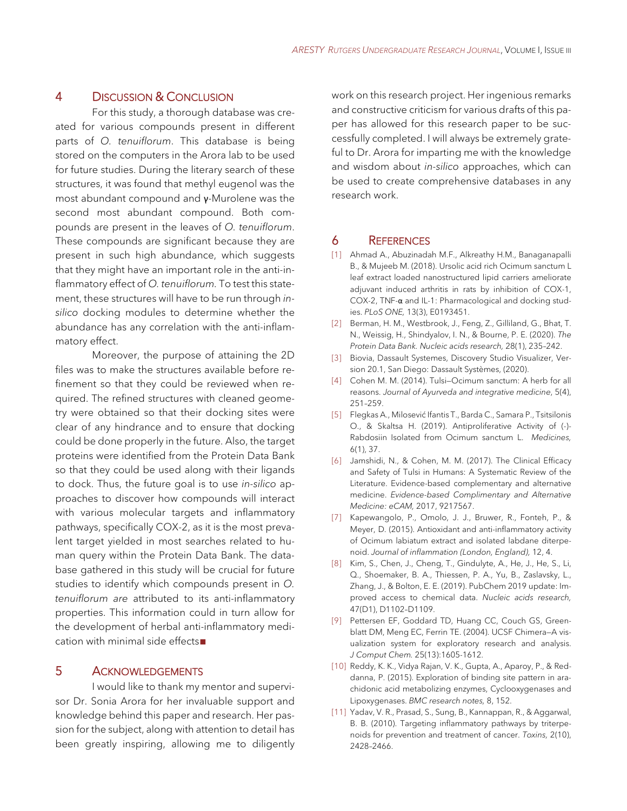## 4 DISCUSSION & CONCLUSION

For this study, a thorough database was created for various compounds present in different parts of *O. tenuiflorum*. This database is being stored on the computers in the Arora lab to be used for future studies. During the literary search of these structures, it was found that methyl eugenol was the most abundant compound and γ-Murolene was the second most abundant compound. Both compounds are present in the leaves of *O. tenuiflorum*. These compounds are significant because they are present in such high abundance, which suggests that they might have an important role in the anti-inflammatory effect of *O. tenuiflorum.* To test this statement, these structures will have to be run through *insilico* docking modules to determine whether the abundance has any correlation with the anti-inflammatory effect.

Moreover, the purpose of attaining the 2D files was to make the structures available before refinement so that they could be reviewed when required. The refined structures with cleaned geometry were obtained so that their docking sites were clear of any hindrance and to ensure that docking could be done properly in the future. Also, the target proteins were identified from the Protein Data Bank so that they could be used along with their ligands to dock. Thus, the future goal is to use *in-silico* approaches to discover how compounds will interact with various molecular targets and inflammatory pathways, specifically COX-2, as it is the most prevalent target yielded in most searches related to human query within the Protein Data Bank. The database gathered in this study will be crucial for future studies to identify which compounds present in *O. tenuiflorum are* attributed to its anti-inflammatory properties. This information could in turn allow for the development of herbal anti-inflammatory medication with minimal side effects∎

### 5 ACKNOWLEDGEMENTS

I would like to thank my mentor and supervisor Dr. Sonia Arora for her invaluable support and knowledge behind this paper and research. Her passion for the subject, along with attention to detail has been greatly inspiring, allowing me to diligently work on this research project. Her ingenious remarks and constructive criticism for various drafts of this paper has allowed for this research paper to be successfully completed. I will always be extremely grateful to Dr. Arora for imparting me with the knowledge and wisdom about *in-silico* approaches, which can be used to create comprehensive databases in any research work.

#### 6 REFERENCES

- [1] Ahmad A., Abuzinadah M.F., Alkreathy H.M., Banaganapalli B., & Mujeeb M. (2018). Ursolic acid rich Ocimum sanctum L leaf extract loaded nanostructured lipid carriers ameliorate adjuvant induced arthritis in rats by inhibition of COX-1, COX-2, TNF-α and IL-1: Pharmacological and docking studies. *PLoS ONE,* 13(3), E0193451.
- [2] Berman, H. M., Westbrook, J., Feng, Z., Gilliland, G., Bhat, T. N., Weissig, H., Shindyalov, I. N., & Bourne, P. E. (2020). *The Protein Data Bank. Nucleic acids research,* 28(1), 235–242.
- [3] Biovia, Dassault Systemes, Discovery Studio Visualizer, Version 20.1, San Diego: Dassault Systèmes, (2020).
- [4] Cohen M. M. (2014). Tulsi—Ocimum sanctum: A herb for all reasons. *Journal of Ayurveda and integrative medicine*, 5(4), 251–259.
- [5] Flegkas A., Milosević Ifantis T., Barda C., Samara P., Tsitsilonis O., & Skaltsa H. (2019). Antiproliferative Activity of (-)- Rabdosiin Isolated from Ocimum sanctum L. *Medicines,*  6(1), 37.
- [6] Jamshidi, N., & Cohen, M. M. (2017). The Clinical Efficacy and Safety of Tulsi in Humans: A Systematic Review of the Literature. Evidence-based complementary and alternative medicine. *Evidence-based Complimentary and Alternative Medicine: eCAM,* 2017, 9217567.
- [7] Kapewangolo, P., Omolo, J. J., Bruwer, R., Fonteh, P., & Meyer, D. (2015). Antioxidant and anti-inflammatory activity of Ocimum labiatum extract and isolated labdane diterpenoid. *Journal of inflammation (London, England),* 12, 4.
- [8] Kim, S., Chen, J., Cheng, T., Gindulyte, A., He, J., He, S., Li, Q., Shoemaker, B. A., Thiessen, P. A., Yu, B., Zaslavsky, L., Zhang, J., & Bolton, E. E. (2019). PubChem 2019 update: Improved access to chemical data. *Nucleic acids research,*  47(D1), D1102–D1109.
- [9] Pettersen EF, Goddard TD, Huang CC, Couch GS, Greenblatt DM, Meng EC, Ferrin TE. (2004). UCSF Chimera—A visualization system for exploratory research and analysis. *J Comput Chem.* 25(13):1605-1612.
- [10] Reddy, K. K., Vidya Rajan, V. K., Gupta, A., Aparoy, P., & Reddanna, P. (2015). Exploration of binding site pattern in arachidonic acid metabolizing enzymes, Cyclooxygenases and Lipoxygenases. *BMC research notes,* 8, 152.
- [11] Yadav, V. R., Prasad, S., Sung, B., Kannappan, R., & Aggarwal, B. B. (2010). Targeting inflammatory pathways by triterpenoids for prevention and treatment of cancer. *Toxins,* 2(10), 2428–2466.